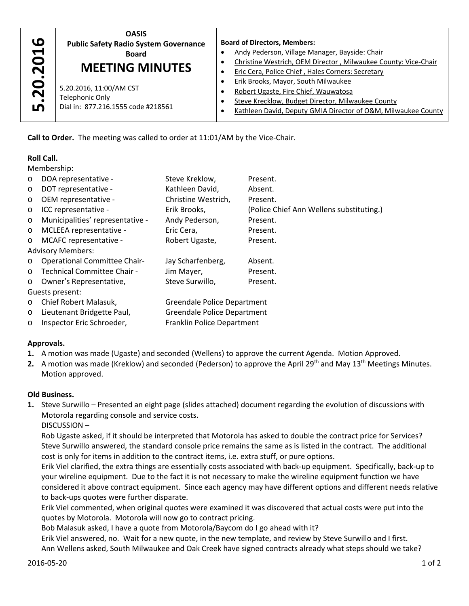

# **Roll Call.**

|                                                | <b>Public Safety Radio System Governance</b>                                                                                         |                             | <b>Board of Directors, Members:</b>                                                                                  |  |
|------------------------------------------------|--------------------------------------------------------------------------------------------------------------------------------------|-----------------------------|----------------------------------------------------------------------------------------------------------------------|--|
|                                                | <b>Board</b>                                                                                                                         |                             | Andy Pederson, Village Manager, Bayside: Chair                                                                       |  |
|                                                | <b>MEETING MINUTES</b>                                                                                                               |                             | Christine Westrich, OEM Director, Milwaukee County: Vice-<br>$\bullet$                                               |  |
|                                                |                                                                                                                                      | $\bullet$                   | Eric Cera, Police Chief, Hales Corners: Secretary                                                                    |  |
|                                                | 5.20.2016, 11:00/AM CST                                                                                                              | ٠                           | Erik Brooks, Mayor, South Milwaukee                                                                                  |  |
|                                                | <b>Telephonic Only</b>                                                                                                               | $\bullet$                   | Robert Ugaste, Fire Chief, Wauwatosa                                                                                 |  |
| 5.20.2016                                      | Dial in: 877.216.1555 code #218561                                                                                                   | $\bullet$                   | Steve Krecklow, Budget Director, Milwaukee County                                                                    |  |
|                                                |                                                                                                                                      |                             | Kathleen David, Deputy GMIA Director of O&M, Milwaukee<br>$\bullet$                                                  |  |
|                                                | Call to Order. The meeting was called to order at 11:01/AM by the Vice-Chair.                                                        |                             |                                                                                                                      |  |
| <b>Roll Call.</b>                              |                                                                                                                                      |                             |                                                                                                                      |  |
| Membership:                                    |                                                                                                                                      |                             |                                                                                                                      |  |
| $\circ$                                        | DOA representative -                                                                                                                 | Steve Kreklow,              | Present.                                                                                                             |  |
| $\circ$                                        | DOT representative -                                                                                                                 | Kathleen David,             | Absent.                                                                                                              |  |
| O                                              | OEM representative -                                                                                                                 | Christine Westrich,         | Present.                                                                                                             |  |
| $\circ$                                        | ICC representative -                                                                                                                 | Erik Brooks,                | (Police Chief Ann Wellens substituting.)                                                                             |  |
| $\circ$                                        | Municipalities' representative -                                                                                                     | Andy Pederson,              | Present.                                                                                                             |  |
| $\circ$                                        | MCLEEA representative -                                                                                                              | Eric Cera,                  | Present.                                                                                                             |  |
| MCAFC representative -<br>O                    |                                                                                                                                      | Robert Ugaste,              | Present.                                                                                                             |  |
|                                                | <b>Advisory Members:</b>                                                                                                             |                             |                                                                                                                      |  |
| <b>Operational Committee Chair-</b><br>$\circ$ |                                                                                                                                      | Jay Scharfenberg,           | Absent.                                                                                                              |  |
| Technical Committee Chair -<br>O               |                                                                                                                                      | Jim Mayer,                  | Present.                                                                                                             |  |
| Owner's Representative,<br>$\circ$             |                                                                                                                                      | Steve Surwillo,             | Present.                                                                                                             |  |
|                                                | Guests present:                                                                                                                      |                             |                                                                                                                      |  |
| $\circ$                                        | Chief Robert Malasuk,                                                                                                                | Greendale Police Department |                                                                                                                      |  |
| O                                              | Lieutenant Bridgette Paul,                                                                                                           | Greendale Police Department |                                                                                                                      |  |
| O                                              | Inspector Eric Schroeder,<br>Franklin Police Department                                                                              |                             |                                                                                                                      |  |
| Approvals.                                     |                                                                                                                                      |                             |                                                                                                                      |  |
|                                                |                                                                                                                                      |                             | 1. A motion was made (Ugaste) and seconded (Wellens) to approve the current Agenda. Motion Approved.                 |  |
|                                                | 2. A motion was made (Kreklow) and seconded (Pederson) to approve the April 29 <sup>th</sup> and May 13 <sup>th</sup> Meetings Minut |                             |                                                                                                                      |  |
|                                                | Motion approved.                                                                                                                     |                             |                                                                                                                      |  |
| <b>Old Business.</b>                           |                                                                                                                                      |                             |                                                                                                                      |  |
|                                                |                                                                                                                                      |                             | 1. Steve Surwillo - Presented an eight page (slides attached) document regarding the evolution of discussions witl   |  |
|                                                | Motorola regarding console and service costs.<br>DISCUSSION-                                                                         |                             |                                                                                                                      |  |
|                                                |                                                                                                                                      |                             | Rob Ugaste asked, if it should be interpreted that Motorola has asked to double the contract price for Services?     |  |
|                                                | Steve Surwillo answered, the standard console price remains the same as is listed in the contract. The addition                      |                             |                                                                                                                      |  |
|                                                |                                                                                                                                      |                             | cost is only for items in addition to the contract items, i.e. extra stuff, or pure options.                         |  |
|                                                |                                                                                                                                      |                             | Erik Viel clarified, the extra things are essentially costs associated with back-up equipment. Specifically, back-up |  |
|                                                |                                                                                                                                      |                             | your wireline equipment. Due to the fact it is not necessary to make the wireline equipment function we have         |  |
|                                                |                                                                                                                                      |                             | considered it above contract equipment. Since each agency may have different options and different needs rel         |  |
|                                                | to back-ups quotes were further disparate.                                                                                           |                             |                                                                                                                      |  |
|                                                |                                                                                                                                      |                             | Erik Viel commented, when original quotes were examined it was discovered that actual costs were put into the        |  |
|                                                | quotes by Motorola. Motorola will now go to contract pricing.                                                                        |                             |                                                                                                                      |  |
|                                                | Bob Malasuk asked, I have a quote from Motorola/Baycom do I go ahead with it?                                                        |                             |                                                                                                                      |  |
|                                                |                                                                                                                                      |                             | Erik Viel answered, no. Wait for a new quote, in the new template, and review by Steve Surwillo and I first.         |  |
|                                                | Ann Wellens asked, South Milwaukee and Oak Creek have signed contracts already what steps should we take?                            |                             |                                                                                                                      |  |

# **Approvals.**

- **1.** A motion was made (Ugaste) and seconded (Wellens) to approve the current Agenda. Motion Approved.
- 2. A motion was made (Kreklow) and seconded (Pederson) to approve the April 29<sup>th</sup> and May 13<sup>th</sup> Meetings Minutes. Motion approved.

#### **Old Business.**